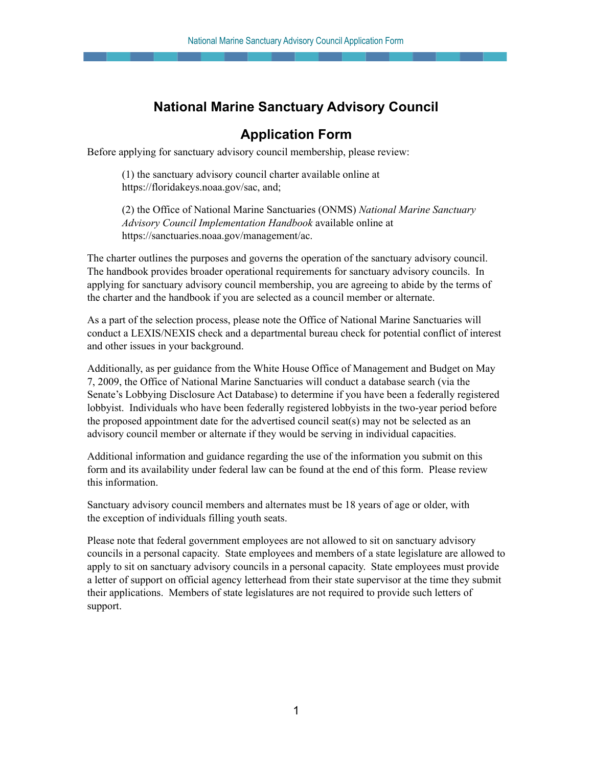## **National Marine Sanctuary Advisory Council**

## **Application Form**

Before applying for sanctuary advisory council membership, please review:

 (1) the sanctuary advisory council charter available online at [https://floridakeys.noaa.gov/sac,](https://floridakeys.noaa.gov/sac) and;

 (2) the Office of National Marine Sanctuaries (ONMS) *National Marine Sanctuary Advisory Council Implementation Handbook* available online at <https://sanctuaries.noaa.gov/management/ac>.

 The charter outlines the purposes and governs the operation of the sanctuary advisory council. The handbook provides broader operational requirements for sanctuary advisory councils. In applying for sanctuary advisory council membership, you are agreeing to abide by the terms of the charter and the handbook if you are selected as a council member or alternate.

 As a part of the selection process, please note the Office of National Marine Sanctuaries will conduct a LEXIS/NEXIS check and a departmental bureau check for potential conflict of interest and other issues in your background.

 Additionally, as per guidance from the White House Office of Management and Budget on May 7, 2009, the Office of National Marine Sanctuaries will conduct a database search (via the Senate's Lobbying Disclosure Act Database) to determine if you have been a federally registered lobbyist. Individuals who have been federally registered lobbyists in the two-year period before the proposed appointment date for the advertised council seat(s) may not be selected as an advisory council member or alternate if they would be serving in individual capacities.

 Additional information and guidance regarding the use of the information you submit on this form and its availability under federal law can be found at the end of this form. Please review this information.

 Sanctuary advisory council members and alternates must be 18 years of age or older, with the exception of individuals filling youth seats.

 Please note that federal government employees are not allowed to sit on sanctuary advisory councils in a personal capacity. State employees and members of a state legislature are allowed to apply to sit on sanctuary advisory councils in a personal capacity. State employees must provide a letter of support on official agency letterhead from their state supervisor at the time they submit their applications. Members of state legislatures are not required to provide such letters of support.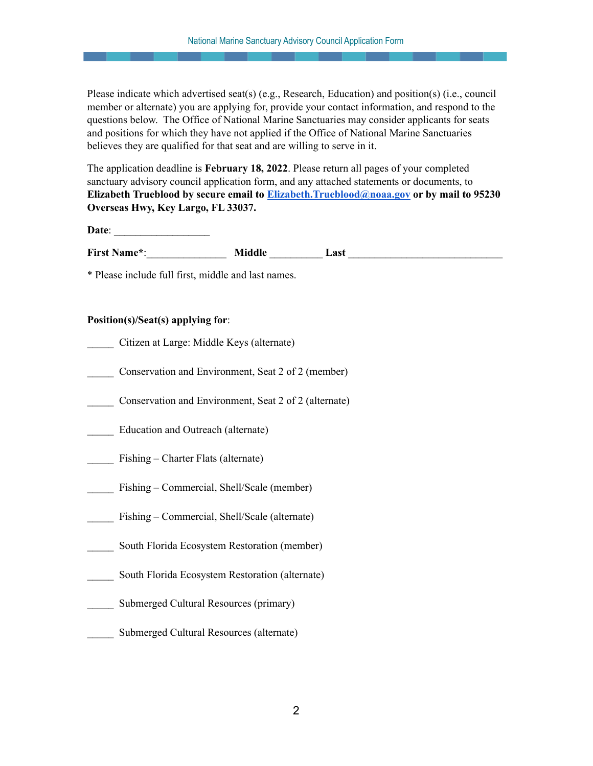Please indicate which advertised seat(s) (e.g., Research, Education) and position(s) (i.e., council member or alternate) you are applying for, provide your contact information, and respond to the questions below. The Office of National Marine Sanctuaries may consider applicants for seats and positions for which they have not applied if the Office of National Marine Sanctuaries believes they are qualified for that seat and are willing to serve in it.

 The application deadline is **February 18, 2022**. Please return all pages of your completed sanctuary advisory council application form, and any attached statements or documents, to  **Elizabeth Trueblood by secure email to [Elizabeth.Trueblood@noaa.gov](mailto:Elizabeth.Trueblood@noaa.gov) or by mail to 95230 Overseas Hwy, Key Largo, FL 33037.**

**Date**: \_\_\_\_\_\_\_\_\_\_\_\_\_\_\_\_\_\_

First Name<sup>\*</sup>: **Middle Last** 

\* Please include full first, middle and last names.

## **Position(s)/Seat(s) applying for**:

- \_\_\_\_\_ Citizen at Large: Middle Keys (alternate)
- Conservation and Environment, Seat 2 of 2 (member)
- \_\_\_\_\_ Conservation and Environment, Seat 2 of 2 (alternate)
- Education and Outreach (alternate)
- Fishing Charter Flats (alternate)
- Fishing Commercial, Shell/Scale (member)
- Fishing Commercial, Shell/Scale (alternate)
- South Florida Ecosystem Restoration (member)
- South Florida Ecosystem Restoration (alternate)
- Submerged Cultural Resources (primary)
- \_\_\_\_\_ Submerged Cultural Resources (alternate)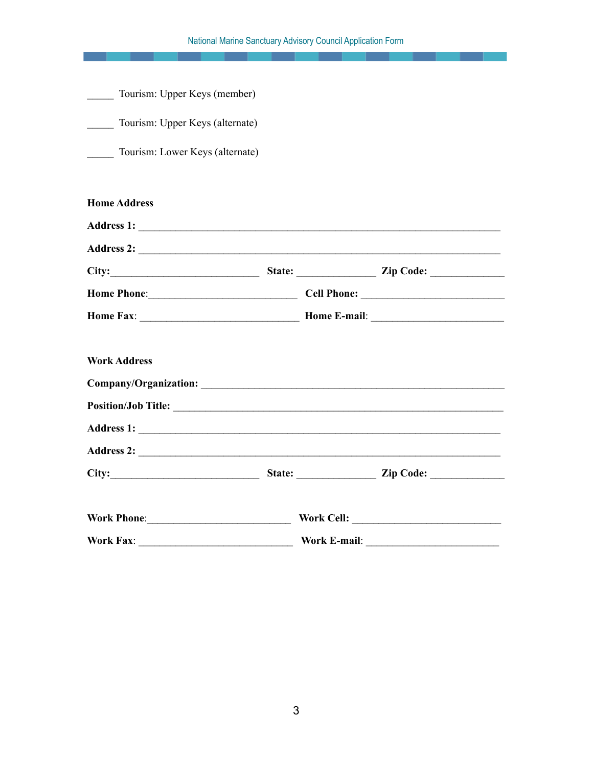| Tourism: Upper Keys (member)<br>$\frac{1}{2}$<br>Tourism: Upper Keys (alternate)<br>Tourism: Lower Keys (alternate)                                                                                                           |  |  |
|-------------------------------------------------------------------------------------------------------------------------------------------------------------------------------------------------------------------------------|--|--|
|                                                                                                                                                                                                                               |  |  |
| <b>Home Address</b>                                                                                                                                                                                                           |  |  |
| Address 1:                                                                                                                                                                                                                    |  |  |
| Address 2:                                                                                                                                                                                                                    |  |  |
| City: City: City: City: City: City: City: City: City: City: City: City: City: City: City: City: City: City: City: City: City: City: City: City: City: City: City: City: City: City: City: City: City: City: City: City: City: |  |  |
| Home Phone: Cell Phone: Cell Phone:                                                                                                                                                                                           |  |  |
|                                                                                                                                                                                                                               |  |  |
| <b>Work Address</b>                                                                                                                                                                                                           |  |  |
|                                                                                                                                                                                                                               |  |  |
|                                                                                                                                                                                                                               |  |  |
| Address 2:                                                                                                                                                                                                                    |  |  |
| City: City: City: City: City: City: City: City: City: City: City: City: City: City: City: City: City: City: City: City: City: City: City: City: City: City: City: City: City: City: City: City: City: City: City: City: City: |  |  |
| Work Phone: Work Cell: Work Cell:                                                                                                                                                                                             |  |  |
|                                                                                                                                                                                                                               |  |  |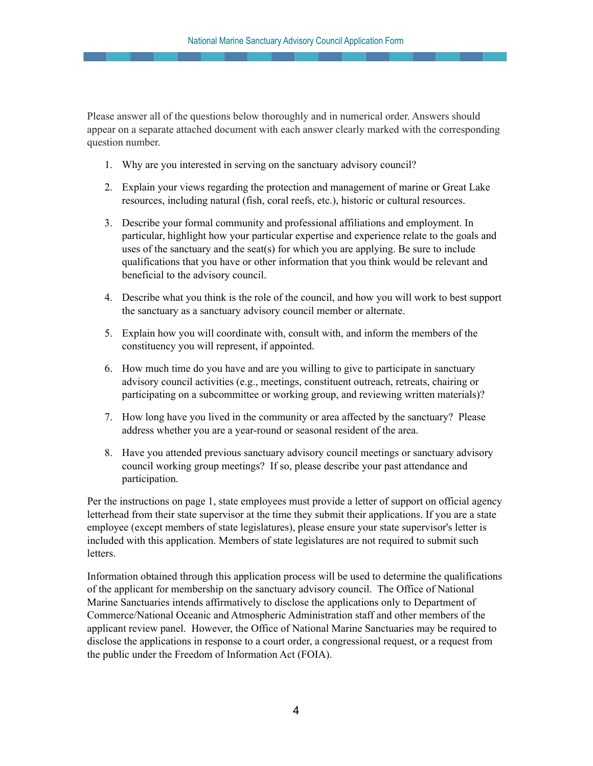Please answer all of the questions below thoroughly and in numerical order. Answers should appear on a separate attached document with each answer clearly marked with the corresponding question number.

- 1. Why are you interested in serving on the sanctuary advisory council?
- 2. Explain your views regarding the protection and management of marine or Great Lake resources, including natural (fish, coral reefs, etc.), historic or cultural resources.
- 3. Describe your formal community and professional affiliations and employment. In particular, highlight how your particular expertise and experience relate to the goals and uses of the sanctuary and the seat(s) for which you are applying. Be sure to include qualifications that you have or other information that you think would be relevant and beneficial to the advisory council.
- 4. Describe what you think is the role of the council, and how you will work to best support the sanctuary as a sanctuary advisory council member or alternate.
- 5. Explain how you will coordinate with, consult with, and inform the members of the constituency you will represent, if appointed.
- 6. How much time do you have and are you willing to give to participate in sanctuary advisory council activities (e.g., meetings, constituent outreach, retreats, chairing or participating on a subcommittee or working group, and reviewing written materials)?
- 7. How long have you lived in the community or area affected by the sanctuary? Please address whether you are a year-round or seasonal resident of the area.
- 8. Have you attended previous sanctuary advisory council meetings or sanctuary advisory council working group meetings? If so, please describe your past attendance and participation.

 Per the instructions on page 1, state employees must provide a letter of support on official agency letterhead from their state supervisor at the time they submit their applications. If you are a state employee (except members of state legislatures), please ensure your state supervisor's letter is included with this application. Members of state legislatures are not required to submit such letters.

 Information obtained through this application process will be used to determine the qualifications of the applicant for membership on the sanctuary advisory council. The Office of National Marine Sanctuaries intends affirmatively to disclose the applications only to Department of Commerce/National Oceanic and Atmospheric Administration staff and other members of the applicant review panel. However, the Office of National Marine Sanctuaries may be required to disclose the applications in response to a court order, a congressional request, or a request from the public under the Freedom of Information Act (FOIA).